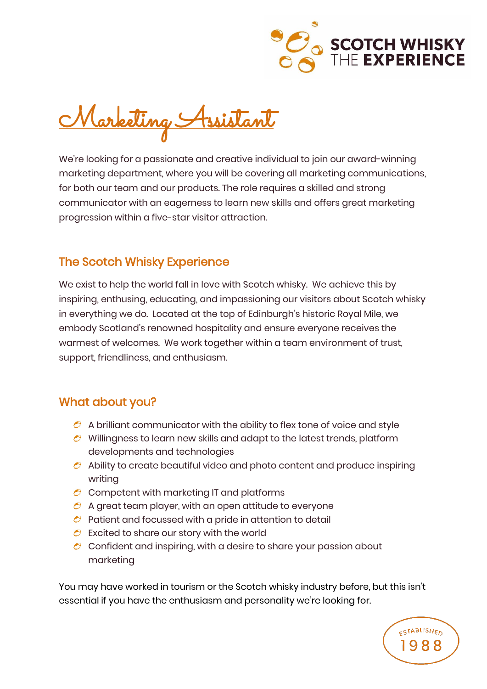

**ESTABLISHED** 

Marketing Assistant

We're looking for a passionate and creative individual to join our award-winning marketing department, where you will be covering all marketing communications, for both our team and our products. The role requires a skilled and strong communicator with an eagerness to learn new skills and offers great marketing progression within a five-star visitor attraction.

## The Scotch Whisky Experience

We exist to help the world fall in love with Scotch whisky. We achieve this by inspiring, enthusing, educating, and impassioning our visitors about Scotch whisky in everything we do. Located at the top of Edinburgh's historic Royal Mile, we embody Scotland's renowned hospitality and ensure everyone receives the warmest of welcomes. We work together within a team environment of trust, support, friendliness, and enthusiasm.

## What about you?

- $\bullet$  A brilliant communicator with the ability to flex tone of voice and style
- $\bullet$  Willingness to learn new skills and adapt to the latest trends, platform developments and technologies
- $\bullet$  Ability to create beautiful video and photo content and produce inspiring writing
- $\mathcal C$  Competent with marketing IT and platforms
- $\mathcal C$  A great team player, with an open attitude to everyone
- $\bullet$  Patient and focussed with a pride in attention to detail
- $\epsilon$  Excited to share our story with the world
- $\mathcal C$  Confident and inspiring, with a desire to share your passion about marketing

You may have worked in tourism or the Scotch whisky industry before, but this isn't essential if you have the enthusiasm and personality we're looking for.